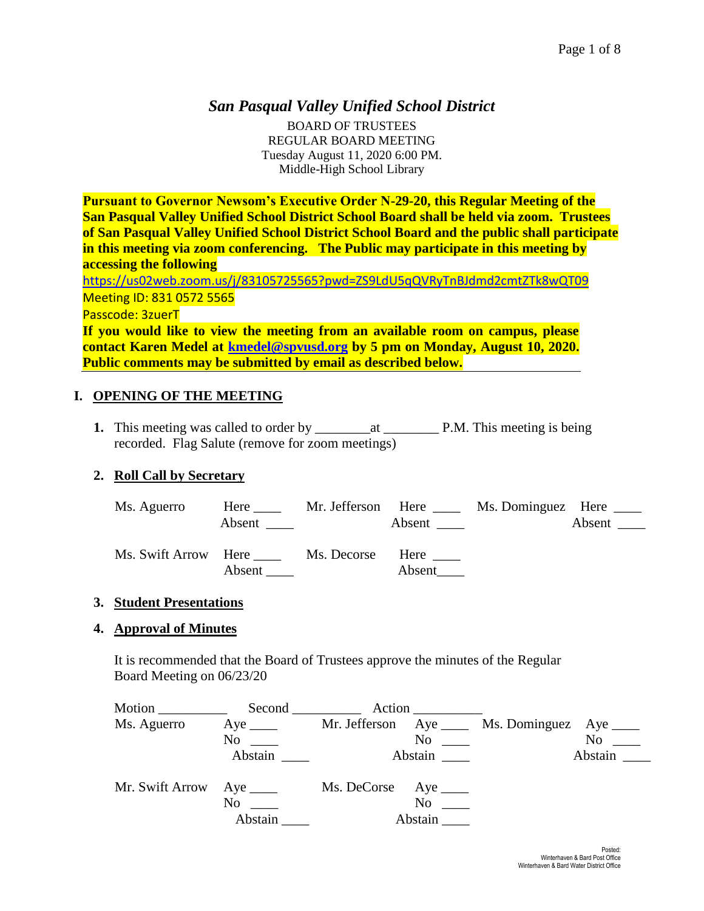# *San Pasqual Valley Unified School District*

BOARD OF TRUSTEES REGULAR BOARD MEETING Tuesday August 11, 2020 6:00 PM. Middle-High School Library

**Pursuant to Governor Newsom's Executive Order N-29-20, this Regular Meeting of the San Pasqual Valley Unified School District School Board shall be held via zoom. Trustees of San Pasqual Valley Unified School District School Board and the public shall participate in this meeting via zoom conferencing. The Public may participate in this meeting by accessing the following** 

<https://us02web.zoom.us/j/83105725565?pwd=ZS9LdU5qQVRyTnBJdmd2cmtZTk8wQT09> Meeting ID: 831 0572 5565

Passcode: 3zuerT

**If you would like to view the meeting from an available room on campus, please contact Karen Medel at [kmedel@spvusd.org](mailto:kmedel@spvusd.org) by 5 pm on Monday, August 10, 2020. Public comments may be submitted by email as described below.** 

## **I. OPENING OF THE MEETING**

**1.** This meeting was called to order by \_\_\_\_\_\_\_\_at \_\_\_\_\_\_\_\_ P.M. This meeting is being recorded. Flag Salute (remove for zoom meetings)

## **2. Roll Call by Secretary**

| Ms. Aguerro                | Here<br>Absent | Mr. Jefferson Here | Absent         | Ms. Dominguez Here _____ | Absent $\_\_$ |
|----------------------------|----------------|--------------------|----------------|--------------------------|---------------|
| Ms. Swift Arrow Here _____ | Absent         | Ms. Decorse        | Here<br>Absent |                          |               |

## **3. Student Presentations**

## **4. Approval of Minutes**

It is recommended that the Board of Trustees approve the minutes of the Regular Board Meeting on 06/23/20

| Motion $\frac{1}{\sqrt{1-\frac{1}{2}}\cdot\frac{1}{\sqrt{1-\frac{1}{2}}}}$ |                 | Action                    |                                               |
|----------------------------------------------------------------------------|-----------------|---------------------------|-----------------------------------------------|
| Ms. Aguerro                                                                | Aye $\_\_$      |                           | Mr. Jefferson Aye ____ Ms. Dominguez Aye ____ |
|                                                                            | No              | N <sub>0</sub>            | No                                            |
|                                                                            | Abstain         | Abstain                   | Abstain                                       |
| Mr. Swift Arrow                                                            | Aye $\_\_\_\_\$ | Ms. DeCorse Aye ______    |                                               |
|                                                                            | No<br>Abstain   | N <sub>0</sub><br>Abstain |                                               |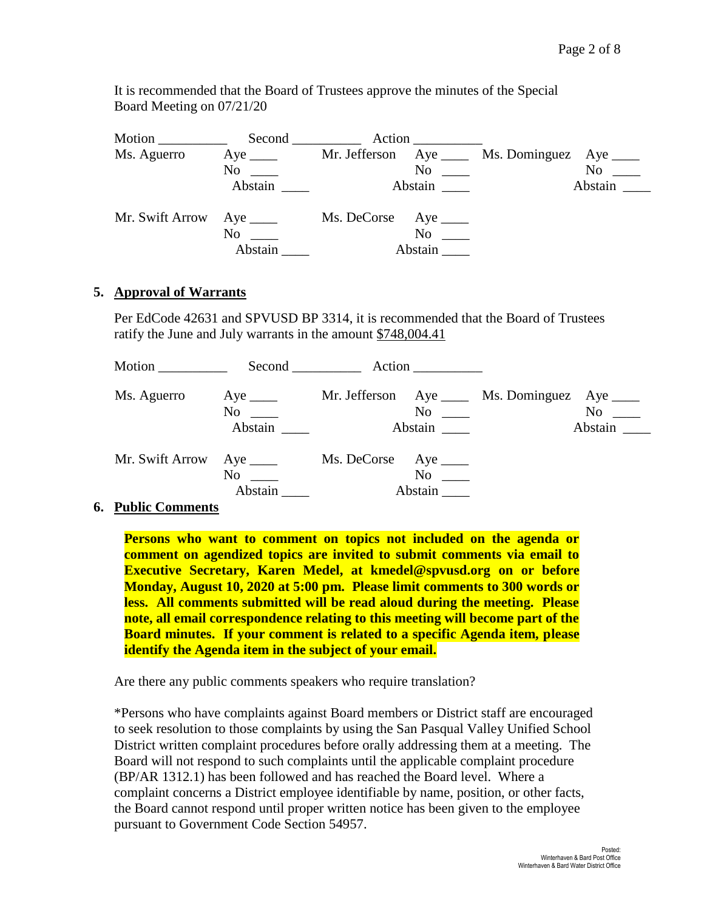It is recommended that the Board of Trustees approve the minutes of the Special Board Meeting on 07/21/20

|                 |                   | Action                 |                                                 |
|-----------------|-------------------|------------------------|-------------------------------------------------|
| Ms. Aguerro     | Aye $\_\_\_\_\_\$ |                        | Mr. Jefferson Aye _____ Ms. Dominguez Aye _____ |
|                 | No                | N <sub>0</sub>         | No<br>$\epsilon = \frac{1}{2}$                  |
|                 | Abstain           | Abstain                | Abstain                                         |
| Mr. Swift Arrow | Aye $\_\_$        | Ms. DeCorse Aye ______ |                                                 |
|                 | No                | N <sub>0</sub>         |                                                 |
|                 | Abstain           | Abstain                |                                                 |

### **5. Approval of Warrants**

Per EdCode 42631 and SPVUSD BP 3314, it is recommended that the Board of Trustees ratify the June and July warrants in the amount \$748,004.41

|                             |                                             | Second Action                                           |                                                                         |
|-----------------------------|---------------------------------------------|---------------------------------------------------------|-------------------------------------------------------------------------|
| Ms. Aguerro                 | Aye $\_\_$<br>$No \ \_$<br>Abstain          | $\mathrm{No} \quad \underline{\hspace{1cm}}$<br>Abstain | Mr. Jefferson Aye _____ Ms. Dominguez Aye _____<br>$No \ \_$<br>Abstain |
| Mr. Swift Arrow             | $Aye$ <sub>____</sub><br>$No \_$<br>Abstain | Ms. DeCorse Aye ______<br>$No \ \_$<br>Abstain          |                                                                         |
| $\mathbf{r}$ . $\mathbf{r}$ |                                             |                                                         |                                                                         |

## **6. Public Comments**

**Persons who want to comment on topics not included on the agenda or comment on agendized topics are invited to submit comments via email to Executive Secretary, Karen Medel, at kmedel@spvusd.org on or before Monday, August 10, 2020 at 5:00 pm. Please limit comments to 300 words or less. All comments submitted will be read aloud during the meeting. Please note, all email correspondence relating to this meeting will become part of the Board minutes. If your comment is related to a specific Agenda item, please identify the Agenda item in the subject of your email.**

Are there any public comments speakers who require translation?

\*Persons who have complaints against Board members or District staff are encouraged to seek resolution to those complaints by using the San Pasqual Valley Unified School District written complaint procedures before orally addressing them at a meeting. The Board will not respond to such complaints until the applicable complaint procedure (BP/AR 1312.1) has been followed and has reached the Board level. Where a complaint concerns a District employee identifiable by name, position, or other facts, the Board cannot respond until proper written notice has been given to the employee pursuant to Government Code Section 54957.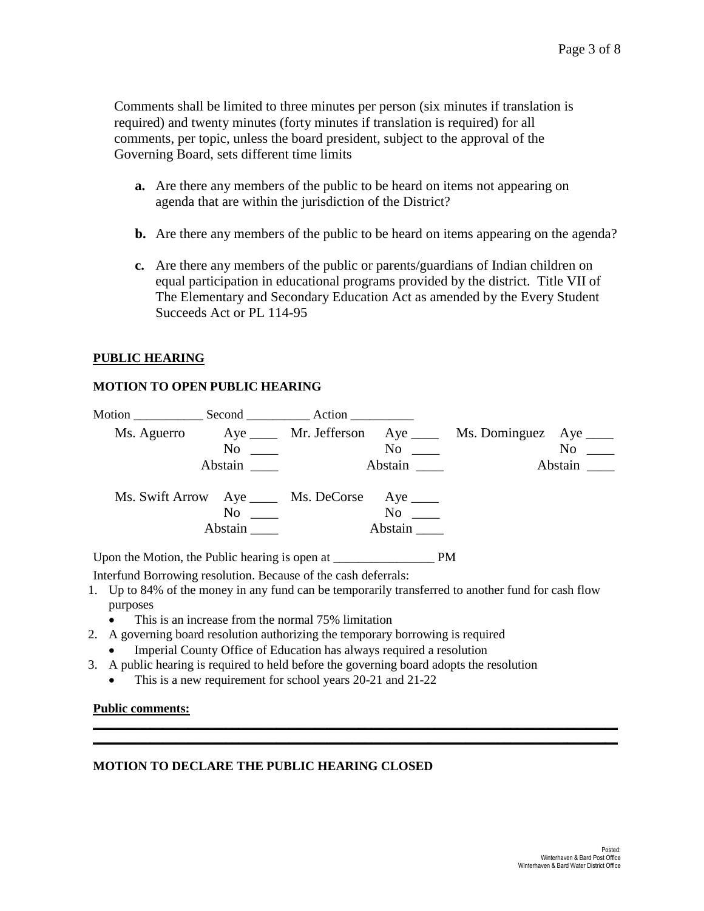Comments shall be limited to three minutes per person (six minutes if translation is required) and twenty minutes (forty minutes if translation is required) for all comments, per topic, unless the board president, subject to the approval of the Governing Board, sets different time limits

- **a.** Are there any members of the public to be heard on items not appearing on agenda that are within the jurisdiction of the District?
- **b.** Are there any members of the public to be heard on items appearing on the agenda?
- **c.** Are there any members of the public or parents/guardians of Indian children on equal participation in educational programs provided by the district. Title VII of The Elementary and Secondary Education Act as amended by the Every Student Succeeds Act or PL 114-95

### **PUBLIC HEARING**

## **MOTION TO OPEN PUBLIC HEARING**

| Motion      |                                        | Second Action                        |            |                         |
|-------------|----------------------------------------|--------------------------------------|------------|-------------------------|
| Ms. Aguerro | $Aye$ <sub>_____</sub>                 | Mr. Jefferson $Aye$ <sub>_____</sub> |            | Ms. Dominguez Aye _____ |
|             | No                                     |                                      | $\rm No$   | N <sub>0</sub>          |
|             | Abstain                                |                                      | Abstain    | Abstain                 |
|             | Ms. Swift Arrow Aye ______ Ms. DeCorse |                                      | Aye $\_\_$ |                         |
|             | No                                     |                                      | No         |                         |
|             | Abstain                                |                                      | Abstain    |                         |
|             |                                        |                                      |            |                         |

Upon the Motion, the Public hearing is open at PM

Interfund Borrowing resolution. Because of the cash deferrals:

1. Up to 84% of the money in any fund can be temporarily transferred to another fund for cash flow purposes

**\_\_\_\_\_\_\_\_\_\_\_\_\_\_\_\_\_\_\_\_\_\_\_\_\_\_\_\_\_\_\_\_\_\_\_\_\_\_\_\_\_\_\_\_\_\_\_\_\_\_\_\_\_\_\_\_\_\_\_\_\_\_\_\_\_\_\_\_\_\_\_\_\_\_\_\_\_\_\_\_\_\_\_ \_\_\_\_\_\_\_\_\_\_\_\_\_\_\_\_\_\_\_\_\_\_\_\_\_\_\_\_\_\_\_\_\_\_\_\_\_\_\_\_\_\_\_\_\_\_\_\_\_\_\_\_\_\_\_\_\_\_\_\_\_\_\_\_\_\_\_\_\_\_\_\_\_\_\_\_\_\_\_\_\_\_\_**

- This is an increase from the normal 75% limitation
- 2. A governing board resolution authorizing the temporary borrowing is required
	- Imperial County Office of Education has always required a resolution
- 3. A public hearing is required to held before the governing board adopts the resolution
	- This is a new requirement for school years 20-21 and 21-22

#### **Public comments:**

## **MOTION TO DECLARE THE PUBLIC HEARING CLOSED**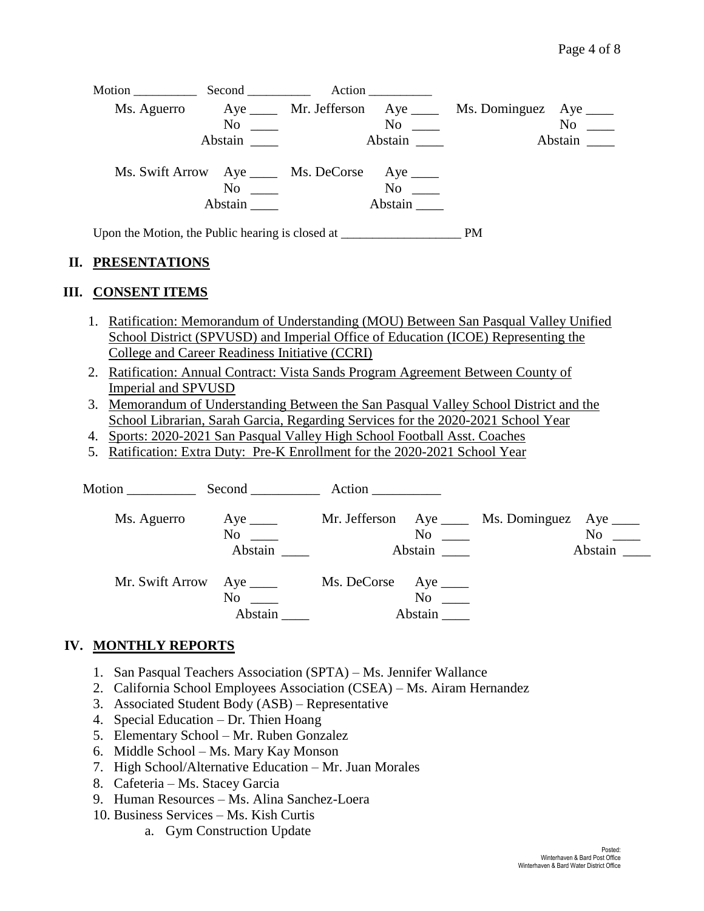|                                                  |                                                               | Action                                 |                                                            |         |
|--------------------------------------------------|---------------------------------------------------------------|----------------------------------------|------------------------------------------------------------|---------|
| Ms. Aguerro                                      |                                                               |                                        | Aye ______ Mr. Jefferson Aye _____ Ms. Dominguez Aye _____ |         |
|                                                  | N <sub>0</sub>                                                | $\rm No$                               |                                                            | No      |
|                                                  | Abstain                                                       | Abstain                                |                                                            | Abstain |
|                                                  | Ms. Swift Arrow Aye _____ Ms. DeCorse<br>$No \ \_$<br>Abstain | $Aye$ <sub>____</sub><br>No<br>Abstain |                                                            |         |
| Upon the Motion, the Public hearing is closed at |                                                               |                                        | <b>PM</b>                                                  |         |

## **II. PRESENTATIONS**

## **III. CONSENT ITEMS**

- 1. Ratification: Memorandum of Understanding (MOU) Between San Pasqual Valley Unified School District (SPVUSD) and Imperial Office of Education (ICOE) Representing the College and Career Readiness Initiative (CCRI)
- 2. Ratification: Annual Contract: Vista Sands Program Agreement Between County of Imperial and SPVUSD
- 3. Memorandum of Understanding Between the San Pasqual Valley School District and the School Librarian, Sarah Garcia, Regarding Services for the 2020-2021 School Year
- 4. Sports: 2020-2021 San Pasqual Valley High School Football Asst. Coaches
- 5. Ratification: Extra Duty: Pre-K Enrollment for the 2020-2021 School Year

| Motion          | Second        | Action      |                                                    |                                       |                             |
|-----------------|---------------|-------------|----------------------------------------------------|---------------------------------------|-----------------------------|
| Ms. Aguerro     | No            |             | $No \ \_$<br>Abstain                               | Mr. Jefferson Aye _____ Ms. Dominguez | Aye $\_\_$<br>No<br>Abstain |
| Mr. Swift Arrow | No<br>Abstain | Ms. DeCorse | $Aye$ <sub>____</sub><br>N <sub>o</sub><br>Abstain |                                       |                             |

## **IV. MONTHLY REPORTS**

- 1. San Pasqual Teachers Association (SPTA) Ms. Jennifer Wallance
- 2. California School Employees Association (CSEA) Ms. Airam Hernandez
- 3. Associated Student Body (ASB) Representative
- 4. Special Education Dr. Thien Hoang
- 5. Elementary School Mr. Ruben Gonzalez
- 6. Middle School Ms. Mary Kay Monson
- 7. High School/Alternative Education Mr. Juan Morales
- 8. Cafeteria Ms. Stacey Garcia
- 9. Human Resources Ms. Alina Sanchez-Loera
- 10. Business Services Ms. Kish Curtis
	- a. Gym Construction Update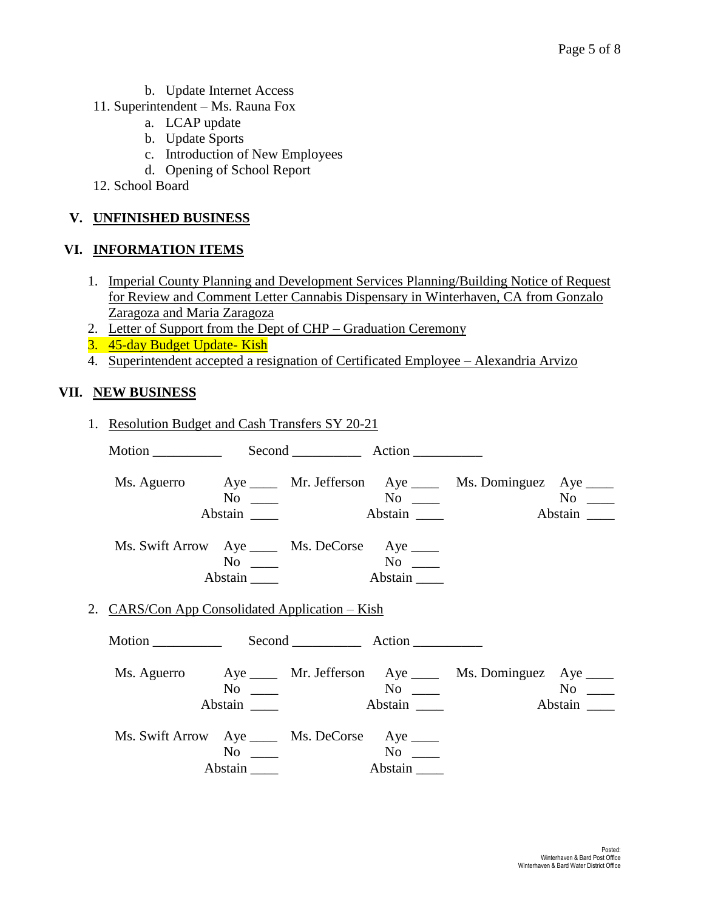- b. Update Internet Access
- 11. Superintendent Ms. Rauna Fox
	- a. LCAP update
	- b. Update Sports
	- c. Introduction of New Employees
	- d. Opening of School Report
- 12. School Board

## **V. UNFINISHED BUSINESS**

### **VI. INFORMATION ITEMS**

- 1. Imperial County Planning and Development Services Planning/Building Notice of Request for Review and Comment Letter Cannabis Dispensary in Winterhaven, CA from Gonzalo Zaragoza and Maria Zaragoza
- 2. Letter of Support from the Dept of CHP Graduation Ceremony
- 3. 45-day Budget Update- Kish
- 4. Superintendent accepted a resignation of Certificated Employee Alexandria Arvizo

## **VII. NEW BUSINESS**

| 1. Resolution Budget and Cash Transfers SY 20-21 |                                         |       |         |                                                                                 |  |
|--------------------------------------------------|-----------------------------------------|-------|---------|---------------------------------------------------------------------------------|--|
|                                                  |                                         |       |         |                                                                                 |  |
|                                                  |                                         |       |         | Ms. Aguerro Aye ____ Mr. Jefferson Aye ____ Ms. Dominguez Aye ____<br>Abstain   |  |
| Ms. Swift Arrow Aye _____ Ms. DeCorse Aye ____   | $No \_\_$<br>$Abstain$ <sub>_____</sub> | $N$ o | Abstain |                                                                                 |  |
| 2. CARS/Con App Consolidated Application - Kish  |                                         |       |         |                                                                                 |  |
|                                                  | $No \_$<br>Abstain                      |       |         | Ms. Aguerro Aye _____ Mr. Jefferson Aye _____ Ms. Dominguez Aye ____<br>Abstain |  |
| Ms. Swift Arrow Aye _____ Ms. DeCorse Aye ____   | $No \_$<br>$Abstain$ <sub>_____</sub>   | $N$ o | Abstain |                                                                                 |  |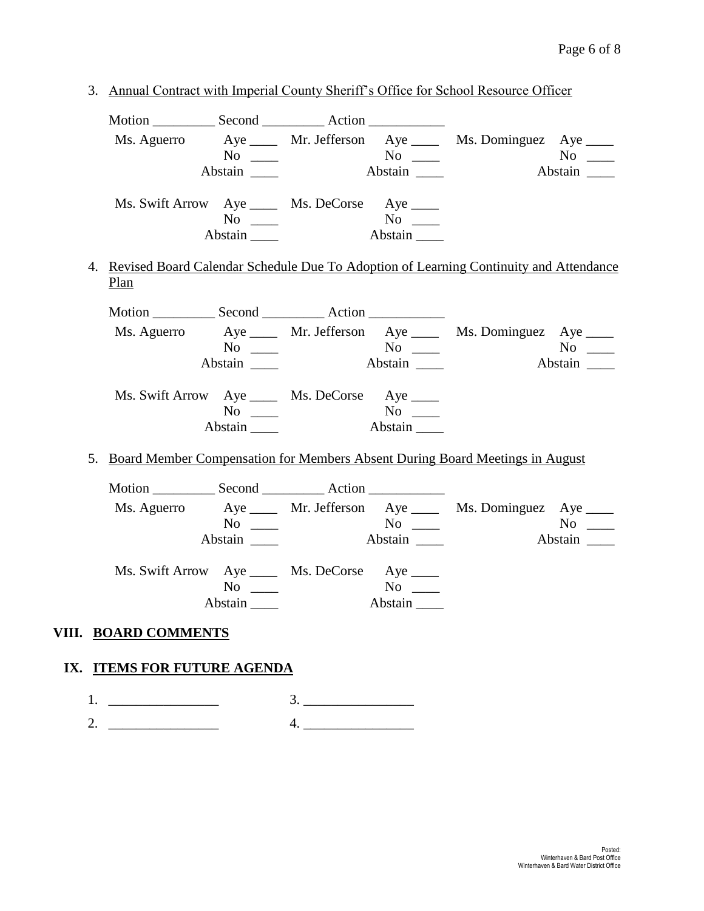- 3. Annual Contract with Imperial County Sheriff's Office for School Resource Officer Motion Second Action Ms. Aguerro Aye Mr. Jefferson Aye Ms. Dominguez Aye Ms. Dominguez Aye Ms. Dominguez Aye Mo No \_\_\_ No \_\_ Abstain \_\_\_\_ Abstain \_\_\_ Abstain \_\_\_ Abstain \_\_\_ Ms. Swift Arrow Aye \_\_\_\_ Ms. DeCorse Aye \_\_\_\_ No \_\_\_\_ No \_\_\_ Abstain \_\_\_\_\_ Abstain \_\_\_\_ 4. Revised Board Calendar Schedule Due To Adoption of Learning Continuity and Attendance Plan Motion Second Action Ms. Aguerro Aye \_\_\_\_ Mr. Jefferson Aye \_\_\_\_ Ms. Dominguez Aye \_\_\_\_ No \_\_\_\_ No \_\_\_ No \_\_\_ No \_\_\_ Abstain \_\_\_\_ Abstain \_\_\_ Abstain \_\_\_ Abstain \_\_\_ Ms. Swift Arrow Aye \_\_\_\_\_ Ms. DeCorse Aye \_\_\_\_ No \_\_\_\_ No \_\_\_ Abstain **Abstain** 5. Board Member Compensation for Members Absent During Board Meetings in August Motion Second Action Ms. Aguerro Aye \_\_\_\_ Mr. Jefferson Aye \_\_\_\_ Ms. Dominguez Aye \_\_\_\_ No \_\_\_ No \_\_ No \_\_ No \_\_ No \_\_ Abstain **Abstain** Abstain **Abstain** Ms. Swift Arrow Aye \_\_\_\_\_ Ms. DeCorse Aye \_\_\_\_ No \_\_\_ No \_\_ Abstain \_\_\_\_ Abstain \_\_\_\_ **VIII. BOARD COMMENTS IX. ITEMS FOR FUTURE AGENDA**   $1.$   $2.$ 
	- 2.  $\frac{4}{2}$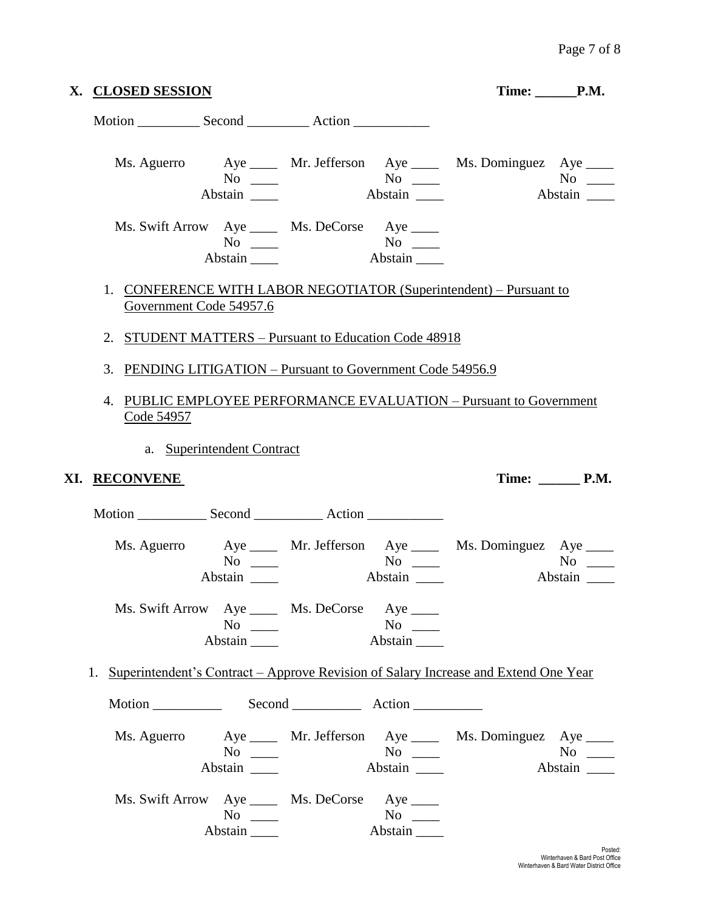| X. CLOSED SESSION                                                                      |                                                            |                                                |                      |                                                                      | Time: P.M.         |
|----------------------------------------------------------------------------------------|------------------------------------------------------------|------------------------------------------------|----------------------|----------------------------------------------------------------------|--------------------|
|                                                                                        |                                                            |                                                |                      |                                                                      |                    |
|                                                                                        | $No \ \_$<br>Abstain                                       |                                                |                      | Ms. Aguerro Aye _____ Mr. Jefferson Aye _____ Ms. Dominguez Aye ____ |                    |
|                                                                                        | $No \ \_$<br>Abstain                                       | Ms. Swift Arrow Aye _____ Ms. DeCorse Aye ____ | Abstain              |                                                                      |                    |
|                                                                                        | Government Code 54957.6                                    |                                                |                      | 1. CONFERENCE WITH LABOR NEGOTIATOR (Superintendent) – Pursuant to   |                    |
| 2. STUDENT MATTERS – Pursuant to Education Code 48918                                  |                                                            |                                                |                      |                                                                      |                    |
| 3. PENDING LITIGATION – Pursuant to Government Code 54956.9                            |                                                            |                                                |                      |                                                                      |                    |
| Code 54957                                                                             |                                                            |                                                |                      | 4. PUBLIC EMPLOYEE PERFORMANCE EVALUATION – Pursuant to Government   |                    |
|                                                                                        | a. Superintendent Contract                                 |                                                |                      |                                                                      |                    |
|                                                                                        |                                                            |                                                |                      |                                                                      |                    |
| XI. RECONVENE                                                                          |                                                            |                                                |                      |                                                                      | Time: P.M.         |
|                                                                                        |                                                            |                                                |                      |                                                                      |                    |
|                                                                                        | $\overline{\text{No}}$ $\overline{\phantom{0}}$<br>Abstain |                                                |                      | Ms. Aguerro Aye _____ Mr. Jefferson Aye ____ Ms. Dominguez Aye ____  |                    |
|                                                                                        | No $\qquad$<br>Abstain                                     | Ms. Swift Arrow Aye _____ Ms. DeCorse Aye ____ | Abstain              |                                                                      |                    |
| 1. Superintendent's Contract – Approve Revision of Salary Increase and Extend One Year |                                                            |                                                |                      |                                                                      |                    |
|                                                                                        |                                                            |                                                |                      |                                                                      |                    |
|                                                                                        | $No \ \_$<br>Abstain                                       |                                                | $No \ \_$<br>Abstain | Ms. Aguerro Aye _____ Mr. Jefferson Aye _____ Ms. Dominguez Aye ____ | $No \_$<br>Abstain |